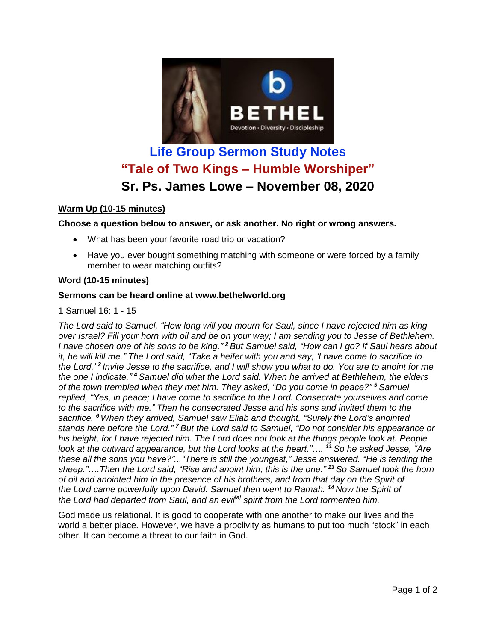

# **Life Group Sermon Study Notes "Tale of Two Kings – Humble Worshiper" Sr. Ps. James Lowe – November 08, 2020**

## **Warm Up (10-15 minutes)**

## **Choose a question below to answer, or ask another. No right or wrong answers.**

- What has been your favorite road trip or vacation?
- Have you ever bought something matching with someone or were forced by a family member to wear matching outfits?

### **Word (10-15 minutes)**

#### **Sermons can be heard online at [www.bethelworld.org](http://www.bethelworld.org/)**

1 Samuel 16: 1 - 15

The Lord said to Samuel, "How long will you mourn for Saul, since I have rejected him as king over Israel? Fill your horn with oil and be on your way; I am sending you to Jesse of Bethlehem. I have chosen one of his sons to be king."<sup>2</sup> But Samuel said, "How can I go? If Saul hears about it, he will kill me." The Lord said, "Take a heifer with you and say, 'I have come to sacrifice to the Lord.'<sup>3</sup> Invite Jesse to the sacrifice, and I will show you what to do. You are to anoint for me *the one I indicate." <sup>4</sup> Samuel did what the Lord said. When he arrived at Bethlehem, the elders of the town trembled when they met him. They asked, "Do you come in peace?" <sup>5</sup> Samuel replied, "Yes, in peace; I have come to sacrifice to the Lord. Consecrate yourselves and come to the sacrifice with me." Then he consecrated Jesse and his sons and invited them to the sacrifice. <sup>6</sup> When they arrived, Samuel saw Eliab and thought, "Surely the Lord's anointed stands here before the Lord." <sup>7</sup> But the Lord said to Samuel, "Do not consider his appearance or* his height, for I have rejected him. The Lord does not look at the things people look at. People *look at the outward appearance, but the Lord looks at the heart."…. <sup>11</sup> So he asked Jesse, "Are these all the sons you have?"..."There is still the youngest," Jesse answered. "He is tending the sheep."….Then the Lord said, "Rise and anoint him; this is the one." <sup>13</sup> So Samuel took the horn of oil and anointed him in the presence of his brothers, and from that day on the Spirit of the Lord came powerfully upon David. Samuel then went to Ramah. <sup>14</sup> Now the Spirit of the Lord had departed from Saul, and an evil[\[a\]](https://www.biblegateway.com/passage/?search=1%20Samuel%2016&version=NIV#fen-NIV-7610a) spirit from the Lord tormented him.*

God made us relational. It is good to cooperate with one another to make our lives and the world a better place. However, we have a proclivity as humans to put too much "stock" in each other. It can become a threat to our faith in God.